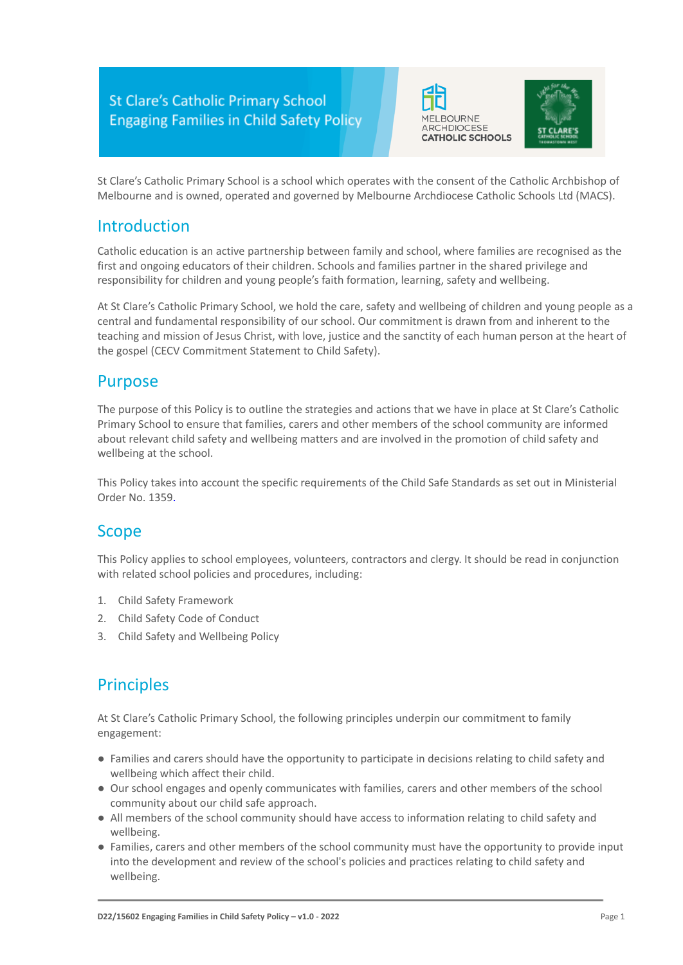



St Clare's Catholic Primary School is a school which operates with the consent of the Catholic Archbishop of Melbourne and is owned, operated and governed by Melbourne Archdiocese Catholic Schools Ltd (MACS).

## Introduction

Catholic education is an active partnership between family and school, where families are recognised as the first and ongoing educators of their children. Schools and families partner in the shared privilege and responsibility for children and young people's faith formation, learning, safety and wellbeing.

At St Clare's Catholic Primary School, we hold the care, safety and wellbeing of children and young people as a central and fundamental responsibility of our school. Our commitment is drawn from and inherent to the teaching and mission of Jesus Christ, with love, justice and the sanctity of each human person at the heart of the gospel (CECV Commitment Statement to Child Safety).

### Purpose

The purpose of this Policy is to outline the strategies and actions that we have in place at St Clare's Catholic Primary School to ensure that families, carers and other members of the school community are informed about relevant child safety and wellbeing matters and are involved in the promotion of child safety and wellbeing at the school.

This Policy takes into account the specific requirements of the Child Safe Standards as set out in Ministerial Order No. 1359.

### Scope

This Policy applies to school employees, volunteers, contractors and clergy. It should be read in conjunction with related school policies and procedures, including:

- 1. Child Safety Framework
- 2. Child Safety Code of Conduct
- 3. Child Safety and Wellbeing Policy

# **Principles**

At St Clare's Catholic Primary School, the following principles underpin our commitment to family engagement:

- Families and carers should have the opportunity to participate in decisions relating to child safety and wellbeing which affect their child.
- Our school engages and openly communicates with families, carers and other members of the school community about our child safe approach.
- All members of the school community should have access to information relating to child safety and wellbeing.
- Families, carers and other members of the school community must have the opportunity to provide input into the development and review of the school's policies and practices relating to child safety and wellbeing.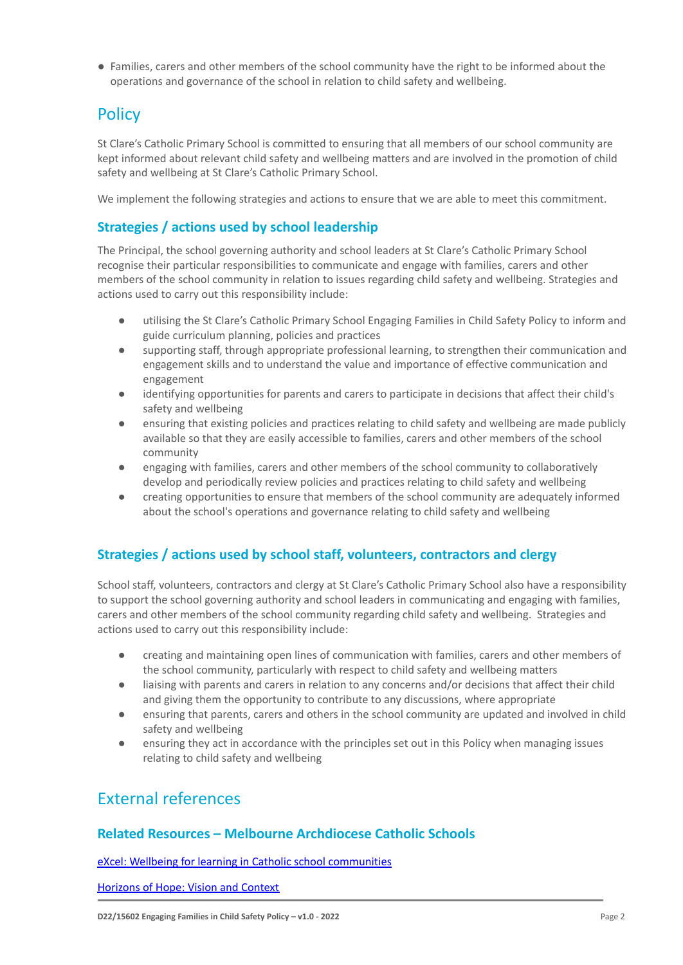● Families, carers and other members of the school community have the right to be informed about the operations and governance of the school in relation to child safety and wellbeing.

# **Policy**

St Clare's Catholic Primary School is committed to ensuring that all members of our school community are kept informed about relevant child safety and wellbeing matters and are involved in the promotion of child safety and wellbeing at St Clare's Catholic Primary School.

We implement the following strategies and actions to ensure that we are able to meet this commitment.

### **Strategies / actions used by school leadership**

The Principal, the school governing authority and school leaders at St Clare's Catholic Primary School recognise their particular responsibilities to communicate and engage with families, carers and other members of the school community in relation to issues regarding child safety and wellbeing. Strategies and actions used to carry out this responsibility include:

- utilising the St Clare's Catholic Primary School Engaging Families in Child Safety Policy to inform and guide curriculum planning, policies and practices
- supporting staff, through appropriate professional learning, to strengthen their communication and engagement skills and to understand the value and importance of effective communication and engagement
- identifying opportunities for parents and carers to participate in decisions that affect their child's safety and wellbeing
- ensuring that existing policies and practices relating to child safety and wellbeing are made publicly available so that they are easily accessible to families, carers and other members of the school community
- engaging with families, carers and other members of the school community to collaboratively develop and periodically review policies and practices relating to child safety and wellbeing
- creating opportunities to ensure that members of the school community are adequately informed about the school's operations and governance relating to child safety and wellbeing

### **Strategies / actions used by school staff, volunteers, contractors and clergy**

School staff, volunteers, contractors and clergy at St Clare's Catholic Primary School also have a responsibility to support the school governing authority and school leaders in communicating and engaging with families, carers and other members of the school community regarding child safety and wellbeing. Strategies and actions used to carry out this responsibility include:

- creating and maintaining open lines of communication with families, carers and other members of the school community, particularly with respect to child safety and wellbeing matters
- liaising with parents and carers in relation to any concerns and/or decisions that affect their child and giving them the opportunity to contribute to any discussions, where appropriate
- ensuring that parents, carers and others in the school community are updated and involved in child safety and wellbeing
- ensuring they act in accordance with the principles set out in this Policy when managing issues relating to child safety and wellbeing

## External references)

#### **Related Resources – Melbourne Archdiocese Catholic Schools**

[eXcel: Wellbeing for learning in Catholic school communities](https://www.cem.edu.au/Our-Schools/Curriculum-Learning-Programs/Student-Wellbeing/eXcel.aspx)

[Horizons of Hope: Vision and Context](https://www.macs.vic.edu.au/Our-Schools/Curriculum-Learning-Programs/Horizons-of-Hope/Vision-Context.aspx)